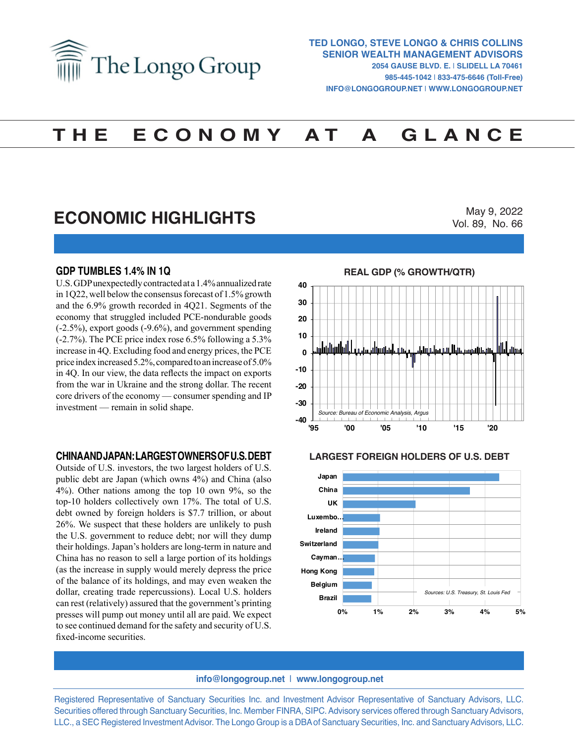

# **T H E E C O N O M Y A T A G L A N C E**

# **ECONOMIC HIGHLIGHTS**

May 9, 2022 Vol. 89, No. 66

### **GDP TUMBLES 1.4% IN 1Q**

U.S. GDP unexpectedly contracted at a 1.4% annualized rate in 1Q22, well below the consensus forecast of 1.5% growth and the 6.9% growth recorded in 4Q21. Segments of the economy that struggled included PCE-nondurable goods (-2.5%), export goods (-9.6%), and government spending (-2.7%). The PCE price index rose 6.5% following a 5.3% increase in 4Q. Excluding food and energy prices, the PCE price index increased 5.2%, compared to an increase of 5.0% in 4Q. In our view, the data reflects the impact on exports from the war in Ukraine and the strong dollar. The recent core drivers of the economy — consumer spending and IP investment — remain in solid shape.

#### **CHINA AND JAPAN: LARGEST OWNERS OF U.S. DEBT**

Outside of U.S. investors, the two largest holders of U.S. public debt are Japan (which owns 4%) and China (also 4%). Other nations among the top 10 own 9%, so the top-10 holders collectively own 17%. The total of U.S. debt owned by foreign holders is \$7.7 trillion, or about 26%. We suspect that these holders are unlikely to push the U.S. government to reduce debt; nor will they dump their holdings. Japan's holders are long-term in nature and China has no reason to sell a large portion of its holdings (as the increase in supply would merely depress the price of the balance of its holdings, and may even weaken the dollar, creating trade repercussions). Local U.S. holders can rest (relatively) assured that the government's printing presses will pump out money until all are paid. We expect to see continued demand for the safety and security of U.S. fixed-income securities.



# **LARGEST FOREIGN HOLDERS OF U.S. DEBT LARGEST FOREIGN HOLDERS OF U.S. DEBT**



#### **info@longogroup.net** | **www.longogroup.net**

Registered Representative of Sanctuary Securities Inc. and Investment Advisor Representative of Sanctuary Advisors, LLC. Securities offered through Sanctuary Securities, Inc. Member FINRA, SIPC. Advisory services offered through Sanctuary Advisors, LLC., a SEC Registered Investment Advisor. The Longo Group is a DBA of Sanctuary Securities, Inc. and Sanctuary Advisors, LLC.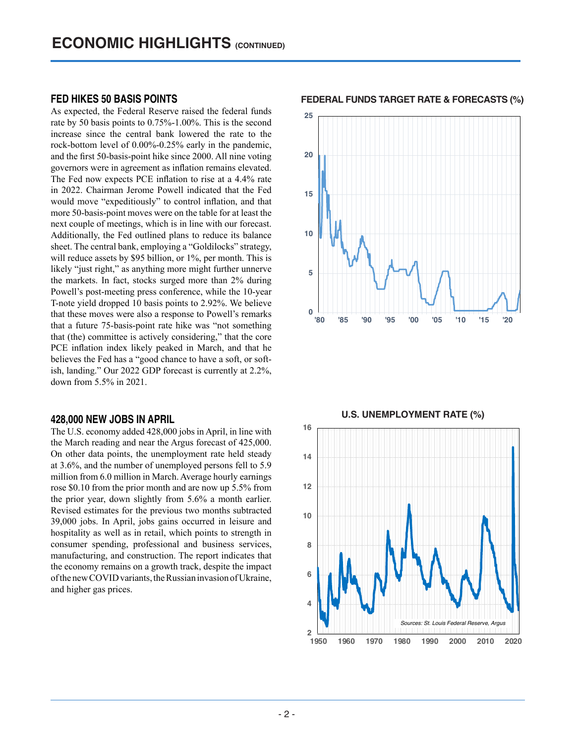# **FED HIKES 50 BASIS POINTS**

As expected, the Federal Reserve raised the federal funds rate by 50 basis points to 0.75%-1.00%. This is the second increase since the central bank lowered the rate to the rock-bottom level of 0.00%-0.25% early in the pandemic, and the first 50-basis-point hike since 2000. All nine voting governors were in agreement as inflation remains elevated. The Fed now expects PCE inflation to rise at a 4.4% rate in 2022. Chairman Jerome Powell indicated that the Fed would move "expeditiously" to control inflation, and that more 50-basis-point moves were on the table for at least the next couple of meetings, which is in line with our forecast. Additionally, the Fed outlined plans to reduce its balance sheet. The central bank, employing a "Goldilocks" strategy, will reduce assets by \$95 billion, or 1%, per month. This is likely "just right," as anything more might further unnerve the markets. In fact, stocks surged more than 2% during Powell's post-meeting press conference, while the 10-year T-note yield dropped 10 basis points to 2.92%. We believe that these moves were also a response to Powell's remarks that a future 75-basis-point rate hike was "not something that (the) committee is actively considering," that the core PCE inflation index likely peaked in March, and that he believes the Fed has a "good chance to have a soft, or softish, landing." Our 2022 GDP forecast is currently at 2.2%, down from 5.5% in 2021.

#### **428,000 NEW JOBS IN APRIL**

The U.S. economy added 428,000 jobs in April, in line with the March reading and near the Argus forecast of 425,000. On other data points, the unemployment rate held steady at 3.6%, and the number of unemployed persons fell to 5.9 million from 6.0 million in March. Average hourly earnings rose \$0.10 from the prior month and are now up 5.5% from the prior year, down slightly from 5.6% a month earlier. Revised estimates for the previous two months subtracted 39,000 jobs. In April, jobs gains occurred in leisure and hospitality as well as in retail, which points to strength in consumer spending, professional and business services, manufacturing, and construction. The report indicates that the economy remains on a growth track, despite the impact of the new COVID variants, the Russian invasion of Ukraine, and higher gas prices.

**FEDERAL FUNDS TARGET RATE & FORECASTS (%) FEDERAL FUNDS TARGET RATE & FORECASTS (%)**



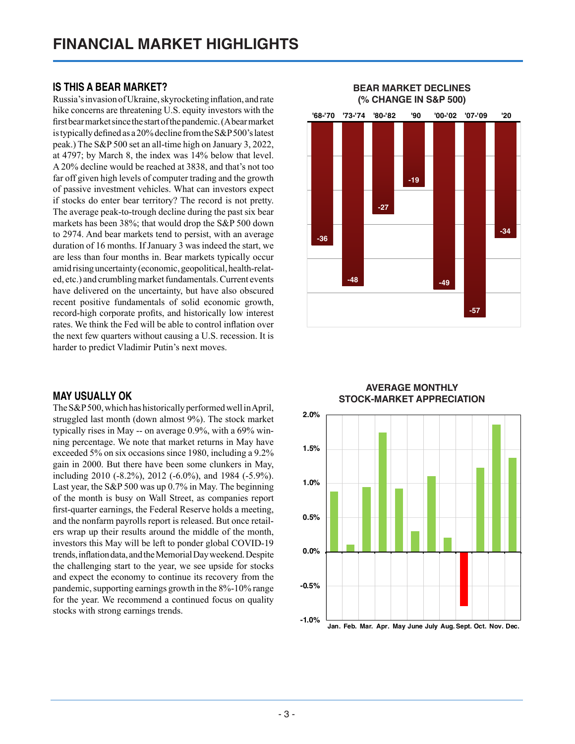# **IS THIS A BEAR MARKET?**

Russia's invasion of Ukraine, skyrocketing inflation, and rate hike concerns are threatening U.S. equity investors with the first bear market since the start of the pandemic. (A bear market is typically defined as a 20% decline from the S&P 500's latest peak.) The S&P 500 set an all-time high on January 3, 2022, at 4797; by March 8, the index was 14% below that level. A 20% decline would be reached at 3838, and that's not too far off given high levels of computer trading and the growth of passive investment vehicles. What can investors expect if stocks do enter bear territory? The record is not pretty. The average peak-to-trough decline during the past six bear markets has been 38%; that would drop the S&P 500 down to 2974. And bear markets tend to persist, with an average duration of 16 months. If January 3 was indeed the start, we are less than four months in. Bear markets typically occur amid rising uncertainty (economic, geopolitical, health-related, etc.) and crumbling market fundamentals. Current events have delivered on the uncertainty, but have also obscured recent positive fundamentals of solid economic growth, record-high corporate profits, and historically low interest rates. We think the Fed will be able to control inflation over the next few quarters without causing a U.S. recession. It is harder to predict Vladimir Putin's next moves.

## **MAY USUALLY OK**

The S&P 500, which has historically performed well in April, struggled last month (down almost 9%). The stock market typically rises in May -- on average 0.9%, with a 69% winning percentage. We note that market returns in May have exceeded 5% on six occasions since 1980, including a 9.2% gain in 2000. But there have been some clunkers in May, including 2010 (-8.2%), 2012 (-6.0%), and 1984 (-5.9%). Last year, the S&P 500 was up 0.7% in May. The beginning of the month is busy on Wall Street, as companies report first-quarter earnings, the Federal Reserve holds a meeting, and the nonfarm payrolls report is released. But once retailers wrap up their results around the middle of the month, investors this May will be left to ponder global COVID-19 trends, inflation data, and the Memorial Day weekend. Despite the challenging start to the year, we see upside for stocks and expect the economy to continue its recovery from the pandemic, supporting earnings growth in the 8%-10% range for the year. We recommend a continued focus on quality stocks with strong earnings trends.



# **AVERAGE MONTHLY STOCK-MARKET APPRECIATION Average Monthly Stock-Market Appreciation**